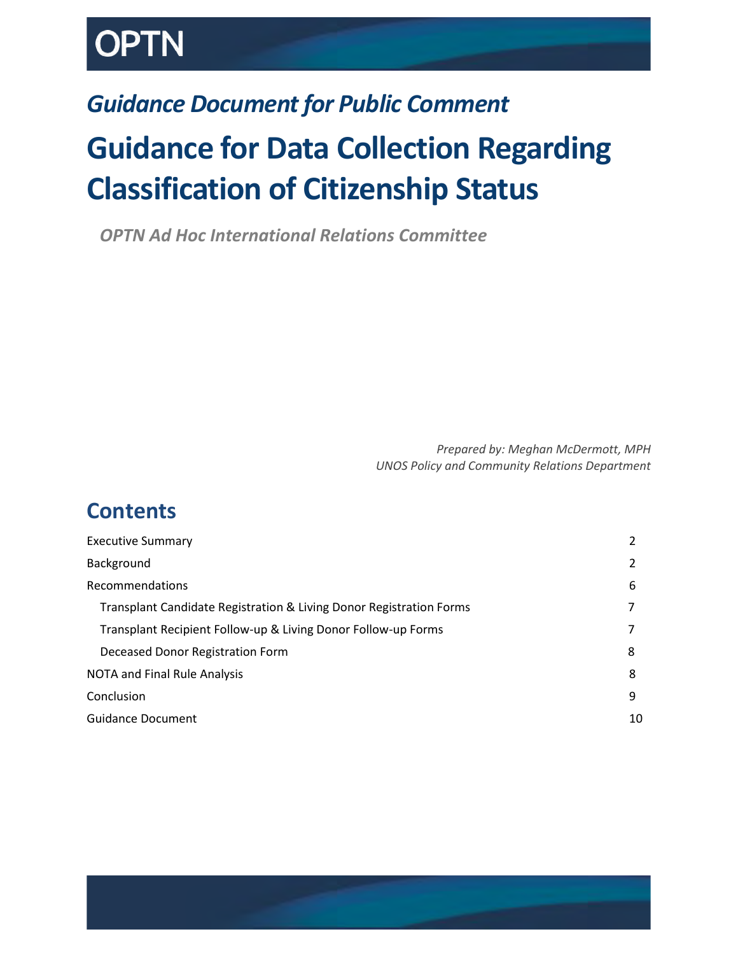# *Guidance Document for Public Comment*

# **Guidance for Data Collection Regarding Classification of Citizenship Status**

*OPTN Ad Hoc International Relations Committee*

*Prepared by: Meghan McDermott, MPH UNOS Policy and Community Relations Department*

# **Contents**

| <b>Executive Summary</b>                                            |    |
|---------------------------------------------------------------------|----|
| Background                                                          |    |
| Recommendations                                                     | 6  |
| Transplant Candidate Registration & Living Donor Registration Forms |    |
| Transplant Recipient Follow-up & Living Donor Follow-up Forms       |    |
| Deceased Donor Registration Form                                    | 8  |
| <b>NOTA and Final Rule Analysis</b>                                 | 8  |
| Conclusion                                                          | 9  |
| <b>Guidance Document</b>                                            | 10 |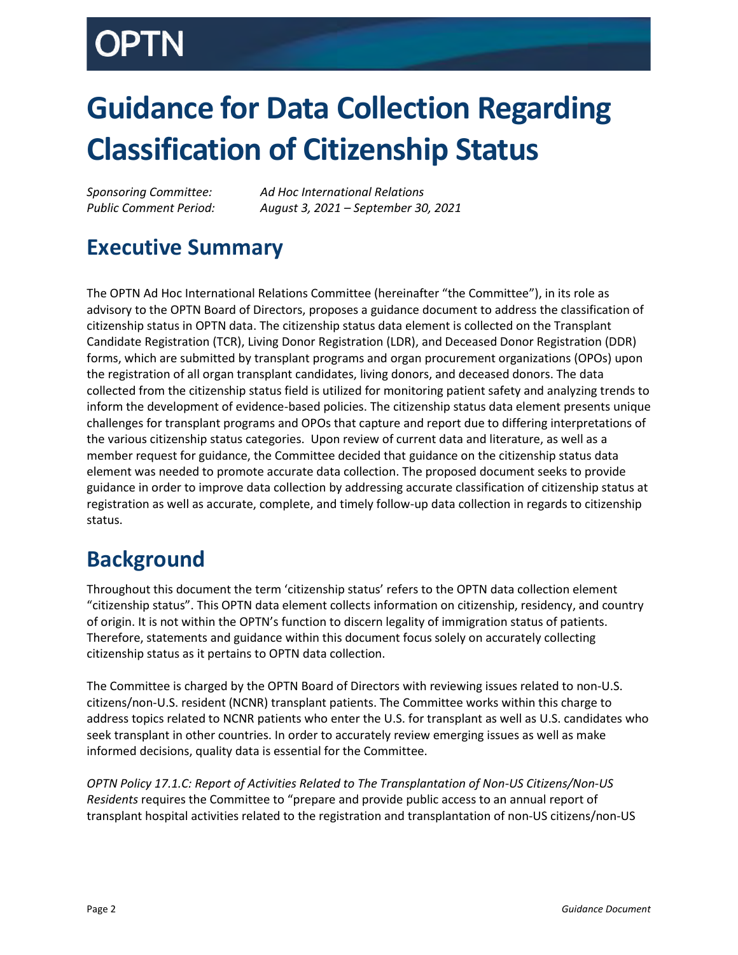# **Guidance for Data Collection Regarding Classification of Citizenship Status**

*Sponsoring Committee: Ad Hoc International Relations Public Comment Period: August 3, 2021 – September 30, 2021*

# <span id="page-1-0"></span>**Executive Summary**

The OPTN Ad Hoc International Relations Committee (hereinafter "the Committee"), in its role as advisory to the OPTN Board of Directors, proposes a guidance document to address the classification of citizenship status in OPTN data. The citizenship status data element is collected on the Transplant Candidate Registration (TCR), Living Donor Registration (LDR), and Deceased Donor Registration (DDR) forms, which are submitted by transplant programs and organ procurement organizations (OPOs) upon the registration of all organ transplant candidates, living donors, and deceased donors. The data collected from the citizenship status field is utilized for monitoring patient safety and analyzing trends to inform the development of evidence-based policies. The citizenship status data element presents unique challenges for transplant programs and OPOs that capture and report due to differing interpretations of the various citizenship status categories. Upon review of current data and literature, as well as a member request for guidance, the Committee decided that guidance on the citizenship status data element was needed to promote accurate data collection. The proposed document seeks to provide guidance in order to improve data collection by addressing accurate classification of citizenship status at registration as well as accurate, complete, and timely follow-up data collection in regards to citizenship status.

# <span id="page-1-1"></span>**Background**

Throughout this document the term 'citizenship status' refers to the OPTN data collection element "citizenship status". This OPTN data element collects information on citizenship, residency, and country of origin. It is not within the OPTN's function to discern legality of immigration status of patients. Therefore, statements and guidance within this document focus solely on accurately collecting citizenship status as it pertains to OPTN data collection.

The Committee is charged by the OPTN Board of Directors with reviewing issues related to non-U.S. citizens/non-U.S. resident (NCNR) transplant patients. The Committee works within this charge to address topics related to NCNR patients who enter the U.S. for transplant as well as U.S. candidates who seek transplant in other countries. In order to accurately review emerging issues as well as make informed decisions, quality data is essential for the Committee.

*OPTN Policy 17.1.C: Report of Activities Related to The Transplantation of Non-US Citizens/Non-US Residents* requires the Committee to "prepare and provide public access to an annual report of transplant hospital activities related to the registration and transplantation of non-US citizens/non-US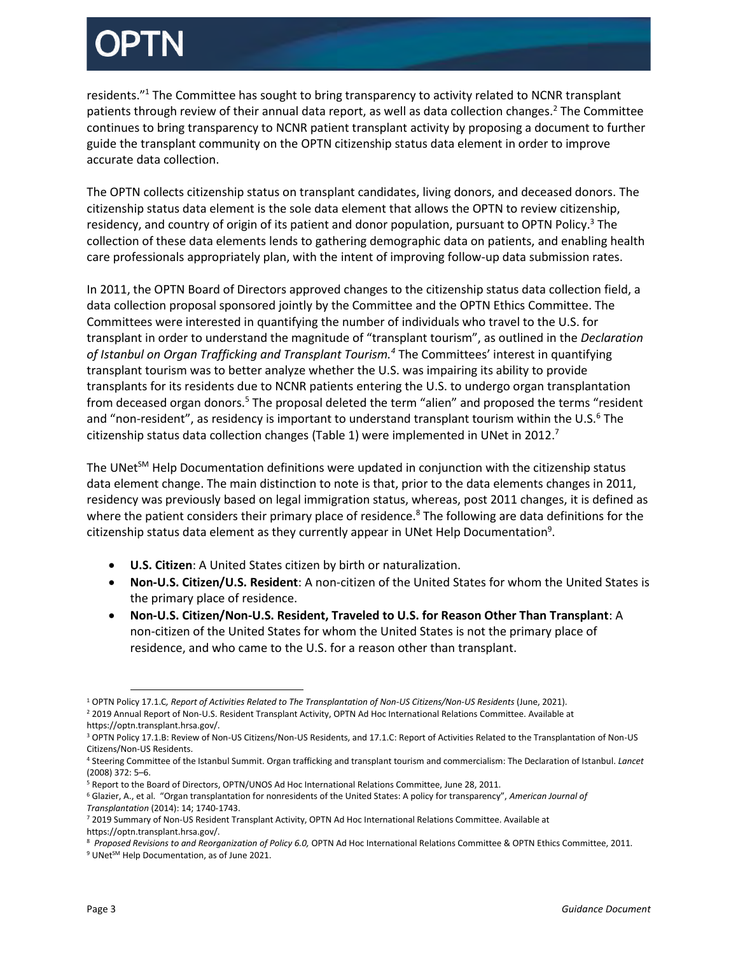residents."<sup>1</sup> The Committee has sought to bring transparency to activity related to NCNR transplant patients through review of their annual data report, as well as data collection changes.<sup>2</sup> The Committee continues to bring transparency to NCNR patient transplant activity by proposing a document to further guide the transplant community on the OPTN citizenship status data element in order to improve accurate data collection.

The OPTN collects citizenship status on transplant candidates, living donors, and deceased donors. The citizenship status data element is the sole data element that allows the OPTN to review citizenship, residency, and country of origin of its patient and donor population, pursuant to OPTN Policy.<sup>3</sup> The collection of these data elements lends to gathering demographic data on patients, and enabling health care professionals appropriately plan, with the intent of improving follow-up data submission rates.

In 2011, the OPTN Board of Directors approved changes to the citizenship status data collection field, a data collection proposal sponsored jointly by the Committee and the OPTN Ethics Committee. The Committees were interested in quantifying the number of individuals who travel to the U.S. for transplant in order to understand the magnitude of "transplant tourism", as outlined in the *Declaration of Istanbul on Organ Trafficking and Transplant Tourism.<sup>4</sup>* The Committees' interest in quantifying transplant tourism was to better analyze whether the U.S. was impairing its ability to provide transplants for its residents due to NCNR patients entering the U.S. to undergo organ transplantation from deceased organ donors.<sup>5</sup> The proposal deleted the term "alien" and proposed the terms "resident and "non-resident", as residency is important to understand transplant tourism within the U.S.<sup>6</sup> The citizenship status data collection changes (Table 1) were implemented in UNet in 2012.<sup>7</sup>

The UNet $<sup>5M</sup>$  Help Documentation definitions were updated in conjunction with the citizenship status</sup> data element change. The main distinction to note is that, prior to the data elements changes in 2011, residency was previously based on legal immigration status, whereas, post 2011 changes, it is defined as where the patient considers their primary place of residence.<sup>8</sup> The following are data definitions for the citizenship status data element as they currently appear in UNet Help Documentation<sup>9</sup>.

- **U.S. Citizen**: A United States citizen by birth or naturalization.
- **Non-U.S. Citizen/U.S. Resident**: A non-citizen of the United States for whom the United States is the primary place of residence.
- **Non-U.S. Citizen/Non-U.S. Resident, Traveled to U.S. for Reason Other Than Transplant**: A non-citizen of the United States for whom the United States is not the primary place of residence, and who came to the U.S. for a reason other than transplant.

 $\overline{a}$ <sup>1</sup> OPTN Policy 17.1.C, Report of Activities Related to The Transplantation of Non-US Citizens/Non-US Residents (June, 2021). <sup>2</sup> 2019 Annual Report of Non-U.S. Resident Transplant Activity, OPTN Ad Hoc International Relations Committee. Available at

https://optn.transplant.hrsa.gov/.

<sup>&</sup>lt;sup>3</sup> OPTN Policy 17.1.B: Review of Non-US Citizens/Non-US Residents, and 17.1.C: Report of Activities Related to the Transplantation of Non-US Citizens/Non-US Residents.

<sup>4</sup> Steering Committee of the Istanbul Summit. Organ trafficking and transplant tourism and commercialism: The Declaration of Istanbul. *Lancet* (2008) 372: 5–6.

<sup>5</sup> Report to the Board of Directors, OPTN/UNOS Ad Hoc International Relations Committee, June 28, 2011.

<sup>6</sup> Glazier, A., et al. "Organ transplantation for nonresidents of the United States: A policy for transparency", *American Journal of Transplantation* (2014): 14; 1740-1743.

<sup>7</sup> 2019 Summary of Non-US Resident Transplant Activity, OPTN Ad Hoc International Relations Committee. Available at https://optn.transplant.hrsa.gov/.

<sup>8</sup> *Proposed Revisions to and Reorganization of Policy 6.0,* OPTN Ad Hoc International Relations Committee & OPTN Ethics Committee, 2011*.*

<sup>9</sup> UNet<sup>SM</sup> Help Documentation, as of June 2021.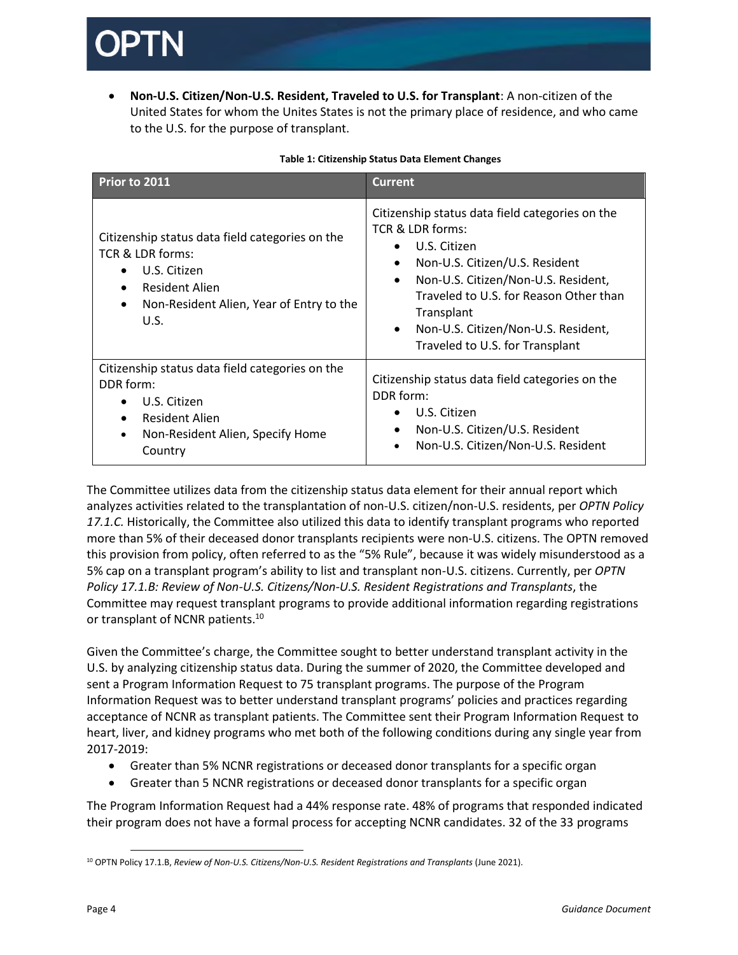**Non-U.S. Citizen/Non-U.S. Resident, Traveled to U.S. for Transplant**: A non-citizen of the United States for whom the Unites States is not the primary place of residence, and who came to the U.S. for the purpose of transplant.

| Prior to 2011                                                                                                                                                                              | <b>Current</b>                                                                                                                                                                                                                                                                                                                        |
|--------------------------------------------------------------------------------------------------------------------------------------------------------------------------------------------|---------------------------------------------------------------------------------------------------------------------------------------------------------------------------------------------------------------------------------------------------------------------------------------------------------------------------------------|
| Citizenship status data field categories on the<br>TCR & LDR forms:<br>U.S. Citizen<br>$\bullet$<br><b>Resident Alien</b><br>Non-Resident Alien, Year of Entry to the<br>$\bullet$<br>U.S. | Citizenship status data field categories on the<br>TCR & LDR forms:<br>U.S. Citizen<br>Non-U.S. Citizen/U.S. Resident<br>$\bullet$<br>Non-U.S. Citizen/Non-U.S. Resident,<br>$\bullet$<br>Traveled to U.S. for Reason Other than<br>Transplant<br>Non-U.S. Citizen/Non-U.S. Resident,<br>$\bullet$<br>Traveled to U.S. for Transplant |
| Citizenship status data field categories on the<br>DDR form:<br>U.S. Citizen<br><b>Resident Alien</b><br>Non-Resident Alien, Specify Home<br>$\bullet$<br>Country                          | Citizenship status data field categories on the<br>DDR form:<br>U.S. Citizen<br>$\bullet$<br>Non-U.S. Citizen/U.S. Resident<br>$\bullet$<br>Non-U.S. Citizen/Non-U.S. Resident<br>$\bullet$                                                                                                                                           |

### **Table 1: Citizenship Status Data Element Changes**

The Committee utilizes data from the citizenship status data element for their annual report which analyzes activities related to the transplantation of non-U.S. citizen/non-U.S. residents, per *OPTN Policy 17.1.C.* Historically, the Committee also utilized this data to identify transplant programs who reported more than 5% of their deceased donor transplants recipients were non-U.S. citizens. The OPTN removed this provision from policy, often referred to as the "5% Rule", because it was widely misunderstood as a 5% cap on a transplant program's ability to list and transplant non-U.S. citizens. Currently, per *OPTN Policy 17.1.B: Review of Non-U.S. Citizens/Non-U.S. Resident Registrations and Transplants*, the Committee may request transplant programs to provide additional information regarding registrations or transplant of NCNR patients.<sup>10</sup>

Given the Committee's charge, the Committee sought to better understand transplant activity in the U.S. by analyzing citizenship status data. During the summer of 2020, the Committee developed and sent a Program Information Request to 75 transplant programs. The purpose of the Program Information Request was to better understand transplant programs' policies and practices regarding acceptance of NCNR as transplant patients. The Committee sent their Program Information Request to heart, liver, and kidney programs who met both of the following conditions during any single year from 2017-2019:

- Greater than 5% NCNR registrations or deceased donor transplants for a specific organ
- Greater than 5 NCNR registrations or deceased donor transplants for a specific organ

The Program Information Request had a 44% response rate. 48% of programs that responded indicated their program does not have a formal process for accepting NCNR candidates. 32 of the 33 programs

 $\overline{\phantom{a}}$ <sup>10</sup> OPTN Policy 17.1.B, *Review of Non-U.S. Citizens/Non-U.S. Resident Registrations and Transplants (June 2021).*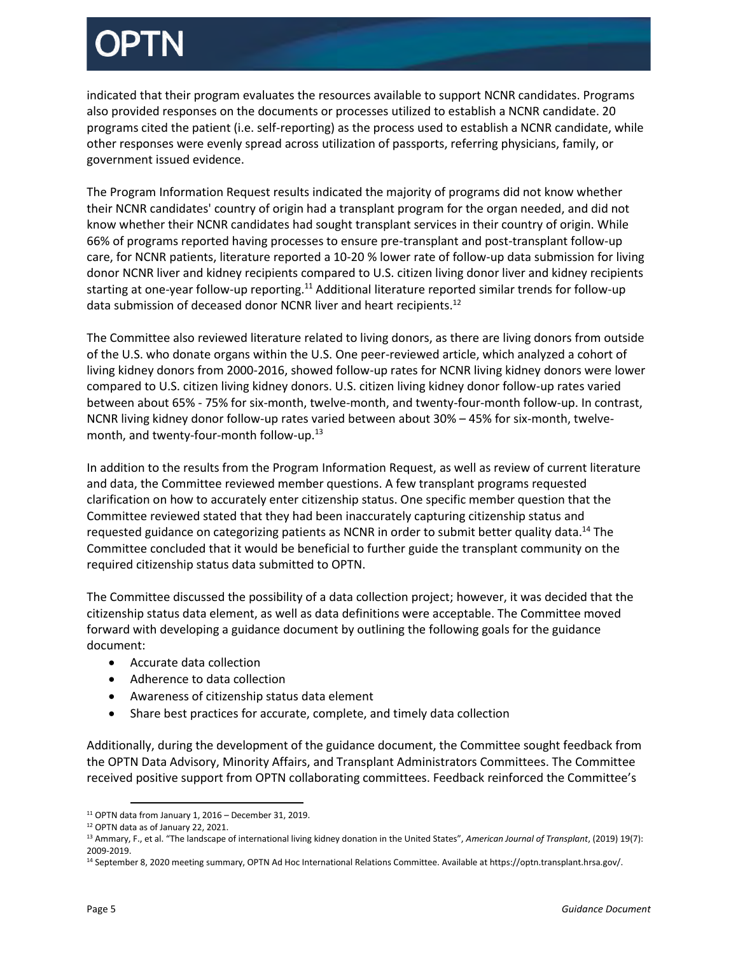indicated that their program evaluates the resources available to support NCNR candidates. Programs also provided responses on the documents or processes utilized to establish a NCNR candidate. 20 programs cited the patient (i.e. self-reporting) as the process used to establish a NCNR candidate, while other responses were evenly spread across utilization of passports, referring physicians, family, or government issued evidence.

The Program Information Request results indicated the majority of programs did not know whether their NCNR candidates' country of origin had a transplant program for the organ needed, and did not know whether their NCNR candidates had sought transplant services in their country of origin. While 66% of programs reported having processes to ensure pre-transplant and post-transplant follow-up care, for NCNR patients, literature reported a 10-20 % lower rate of follow-up data submission for living donor NCNR liver and kidney recipients compared to U.S. citizen living donor liver and kidney recipients starting at one-year follow-up reporting.<sup>11</sup> Additional literature reported similar trends for follow-up data submission of deceased donor NCNR liver and heart recipients.<sup>12</sup>

The Committee also reviewed literature related to living donors, as there are living donors from outside of the U.S. who donate organs within the U.S. One peer-reviewed article, which analyzed a cohort of living kidney donors from 2000-2016, showed follow-up rates for NCNR living kidney donors were lower compared to U.S. citizen living kidney donors. U.S. citizen living kidney donor follow-up rates varied between about 65% - 75% for six-month, twelve-month, and twenty-four-month follow-up. In contrast, NCNR living kidney donor follow-up rates varied between about 30% – 45% for six-month, twelvemonth, and twenty-four-month follow-up.<sup>13</sup>

In addition to the results from the Program Information Request, as well as review of current literature and data, the Committee reviewed member questions. A few transplant programs requested clarification on how to accurately enter citizenship status. One specific member question that the Committee reviewed stated that they had been inaccurately capturing citizenship status and requested guidance on categorizing patients as NCNR in order to submit better quality data.<sup>14</sup> The Committee concluded that it would be beneficial to further guide the transplant community on the required citizenship status data submitted to OPTN.

The Committee discussed the possibility of a data collection project; however, it was decided that the citizenship status data element, as well as data definitions were acceptable. The Committee moved forward with developing a guidance document by outlining the following goals for the guidance document:

- Accurate data collection
- Adherence to data collection
- Awareness of citizenship status data element
- Share best practices for accurate, complete, and timely data collection

Additionally, during the development of the guidance document, the Committee sought feedback from the OPTN Data Advisory, Minority Affairs, and Transplant Administrators Committees. The Committee received positive support from OPTN collaborating committees. Feedback reinforced the Committee's

l  $11$  OPTN data from January 1, 2016 – December 31, 2019.

<sup>12</sup> OPTN data as of January 22, 2021.

<sup>13</sup> Ammary, F., et al. "The landscape of international living kidney donation in the United States", *American Journal of Transplant*, (2019) 19(7): 2009-2019.

<sup>14</sup> September 8, 2020 meeting summary, OPTN Ad Hoc International Relations Committee. Available at https://optn.transplant.hrsa.gov/.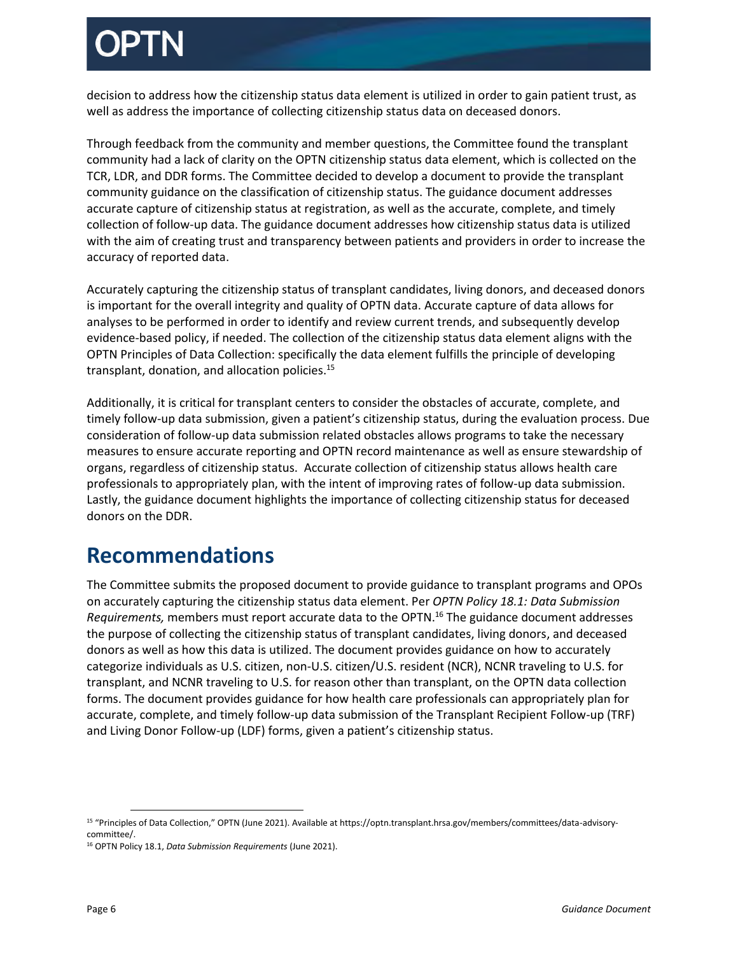decision to address how the citizenship status data element is utilized in order to gain patient trust, as well as address the importance of collecting citizenship status data on deceased donors.

Through feedback from the community and member questions, the Committee found the transplant community had a lack of clarity on the OPTN citizenship status data element, which is collected on the TCR, LDR, and DDR forms. The Committee decided to develop a document to provide the transplant community guidance on the classification of citizenship status. The guidance document addresses accurate capture of citizenship status at registration, as well as the accurate, complete, and timely collection of follow-up data. The guidance document addresses how citizenship status data is utilized with the aim of creating trust and transparency between patients and providers in order to increase the accuracy of reported data.

Accurately capturing the citizenship status of transplant candidates, living donors, and deceased donors is important for the overall integrity and quality of OPTN data. Accurate capture of data allows for analyses to be performed in order to identify and review current trends, and subsequently develop evidence-based policy, if needed. The collection of the citizenship status data element aligns with the OPTN Principles of Data Collection: specifically the data element fulfills the principle of developing transplant, donation, and allocation policies.<sup>15</sup>

Additionally, it is critical for transplant centers to consider the obstacles of accurate, complete, and timely follow-up data submission, given a patient's citizenship status, during the evaluation process. Due consideration of follow-up data submission related obstacles allows programs to take the necessary measures to ensure accurate reporting and OPTN record maintenance as well as ensure stewardship of organs, regardless of citizenship status. Accurate collection of citizenship status allows health care professionals to appropriately plan, with the intent of improving rates of follow-up data submission. Lastly, the guidance document highlights the importance of collecting citizenship status for deceased donors on the DDR.

## <span id="page-5-0"></span>**Recommendations**

The Committee submits the proposed document to provide guidance to transplant programs and OPOs on accurately capturing the citizenship status data element. Per *OPTN Policy 18.1: Data Submission Requirements,* members must report accurate data to the OPTN. <sup>16</sup> The guidance document addresses the purpose of collecting the citizenship status of transplant candidates, living donors, and deceased donors as well as how this data is utilized. The document provides guidance on how to accurately categorize individuals as U.S. citizen, non-U.S. citizen/U.S. resident (NCR), NCNR traveling to U.S. for transplant, and NCNR traveling to U.S. for reason other than transplant, on the OPTN data collection forms. The document provides guidance for how health care professionals can appropriately plan for accurate, complete, and timely follow-up data submission of the Transplant Recipient Follow-up (TRF) and Living Donor Follow-up (LDF) forms, given a patient's citizenship status.

 $\overline{\phantom{a}}$ 

<sup>15</sup> "Principles of Data Collection," OPTN (June 2021). Available at https://optn.transplant.hrsa.gov/members/committees/data-advisorycommittee/.

<sup>16</sup> OPTN Policy 18.1, *Data Submission Requirements* (June 2021).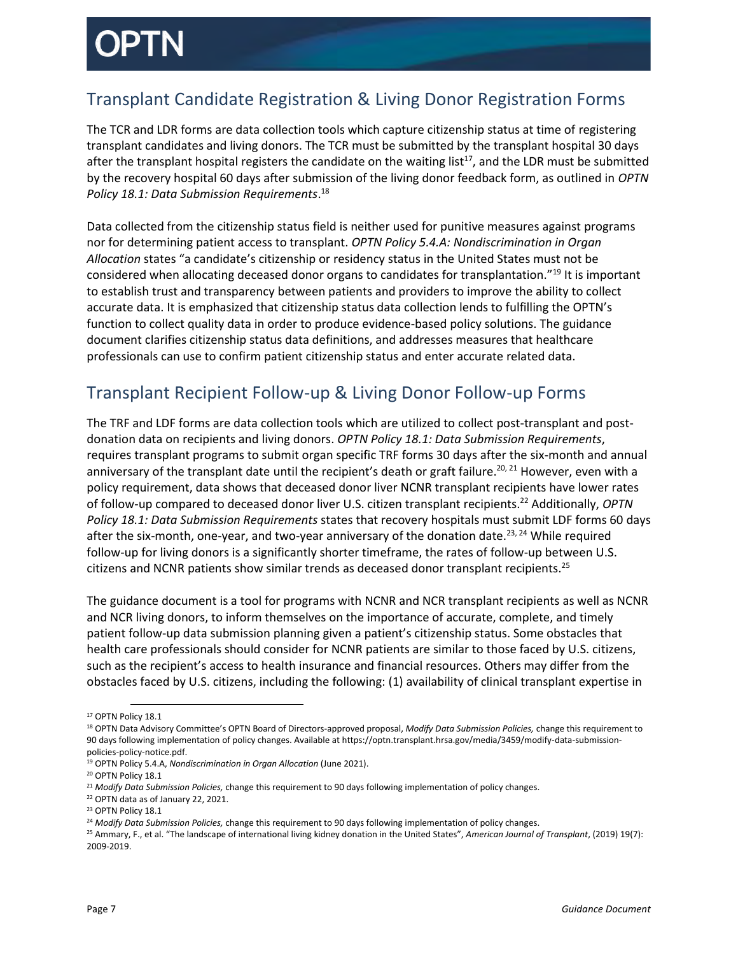## <span id="page-6-0"></span>Transplant Candidate Registration & Living Donor Registration Forms

The TCR and LDR forms are data collection tools which capture citizenship status at time of registering transplant candidates and living donors. The TCR must be submitted by the transplant hospital 30 days after the transplant hospital registers the candidate on the waiting list<sup>17</sup>, and the LDR must be submitted by the recovery hospital 60 days after submission of the living donor feedback form, as outlined in *OPTN Policy 18.1: Data Submission Requirements*. 18

Data collected from the citizenship status field is neither used for punitive measures against programs nor for determining patient access to transplant. *OPTN Policy 5.4.A: Nondiscrimination in Organ Allocation* states "a candidate's citizenship or residency status in the United States must not be considered when allocating deceased donor organs to candidates for transplantation."<sup>19</sup> It is important to establish trust and transparency between patients and providers to improve the ability to collect accurate data. It is emphasized that citizenship status data collection lends to fulfilling the OPTN's function to collect quality data in order to produce evidence-based policy solutions. The guidance document clarifies citizenship status data definitions, and addresses measures that healthcare professionals can use to confirm patient citizenship status and enter accurate related data.

## <span id="page-6-1"></span>Transplant Recipient Follow-up & Living Donor Follow-up Forms

The TRF and LDF forms are data collection tools which are utilized to collect post-transplant and postdonation data on recipients and living donors. *OPTN Policy 18.1: Data Submission Requirements*, requires transplant programs to submit organ specific TRF forms 30 days after the six-month and annual anniversary of the transplant date until the recipient's death or graft failure.<sup>20, 21</sup> However, even with a policy requirement, data shows that deceased donor liver NCNR transplant recipients have lower rates of follow-up compared to deceased donor liver U.S. citizen transplant recipients. <sup>22</sup> Additionally, *OPTN Policy 18.1: Data Submission Requirements* states that recovery hospitals must submit LDF forms 60 days after the six-month, one-year, and two-year anniversary of the donation date.<sup>23, 24</sup> While required follow-up for living donors is a significantly shorter timeframe, the rates of follow-up between U.S. citizens and NCNR patients show similar trends as deceased donor transplant recipients.<sup>25</sup>

The guidance document is a tool for programs with NCNR and NCR transplant recipients as well as NCNR and NCR living donors, to inform themselves on the importance of accurate, complete, and timely patient follow-up data submission planning given a patient's citizenship status. Some obstacles that health care professionals should consider for NCNR patients are similar to those faced by U.S. citizens, such as the recipient's access to health insurance and financial resources. Others may differ from the obstacles faced by U.S. citizens, including the following: (1) availability of clinical transplant expertise in

 $\overline{\phantom{a}}$ <sup>17</sup> OPTN Policy 18.1

<sup>18</sup> OPTN Data Advisory Committee's OPTN Board of Directors-approved proposal, *Modify Data Submission Policies,* change this requirement to 90 days following implementation of policy changes. Available at https://optn.transplant.hrsa.gov/media/3459/modify-data-submissionpolicies-policy-notice.pdf.

<sup>19</sup> OPTN Policy 5.4.A, *Nondiscrimination in Organ Allocation* (June 2021).

<sup>&</sup>lt;sup>20</sup> OPTN Policy 18.1

<sup>21</sup> *Modify Data Submission Policies,* change this requirement to 90 days following implementation of policy changes.

<sup>22</sup> OPTN data as of January 22, 2021.

<sup>&</sup>lt;sup>23</sup> OPTN Policy 18.1

<sup>24</sup> *Modify Data Submission Policies,* change this requirement to 90 days following implementation of policy changes.

<sup>25</sup> Ammary, F., et al. "The landscape of international living kidney donation in the United States", *American Journal of Transplant*, (2019) 19(7): 2009-2019.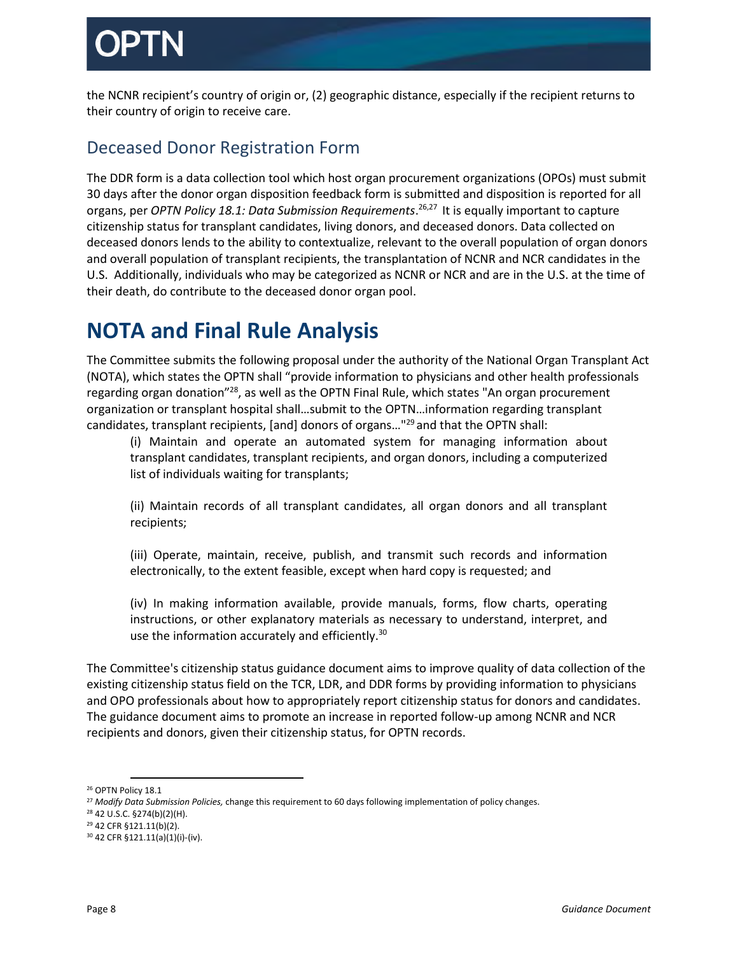the NCNR recipient's country of origin or, (2) geographic distance, especially if the recipient returns to their country of origin to receive care.

## <span id="page-7-0"></span>Deceased Donor Registration Form

The DDR form is a data collection tool which host organ procurement organizations (OPOs) must submit 30 days after the donor organ disposition feedback form is submitted and disposition is reported for all organs, per *OPTN Policy 18.1: Data Submission Requirements*. 26,27 It is equally important to capture citizenship status for transplant candidates, living donors, and deceased donors. Data collected on deceased donors lends to the ability to contextualize, relevant to the overall population of organ donors and overall population of transplant recipients, the transplantation of NCNR and NCR candidates in the U.S. Additionally, individuals who may be categorized as NCNR or NCR and are in the U.S. at the time of their death, do contribute to the deceased donor organ pool.

## <span id="page-7-1"></span>**NOTA and Final Rule Analysis**

The Committee submits the following proposal under the authority of the National Organ Transplant Act (NOTA), which states the OPTN shall "provide information to physicians and other health professionals regarding organ donation"<sup>28</sup>, as well as the OPTN Final Rule, which states "An organ procurement organization or transplant hospital shall…submit to the OPTN…information regarding transplant candidates, transplant recipients, [and] donors of organs…"<sup>29</sup> and that the OPTN shall:

(i) Maintain and operate an automated system for managing information about transplant candidates, transplant recipients, and organ donors, including a computerized list of individuals waiting for transplants;

(ii) Maintain records of all transplant candidates, all organ donors and all transplant recipients;

(iii) Operate, maintain, receive, publish, and transmit such records and information electronically, to the extent feasible, except when hard copy is requested; and

(iv) In making information available, provide manuals, forms, flow charts, operating instructions, or other explanatory materials as necessary to understand, interpret, and use the information accurately and efficiently.<sup>30</sup>

The Committee's citizenship status guidance document aims to improve quality of data collection of the existing citizenship status field on the TCR, LDR, and DDR forms by providing information to physicians and OPO professionals about how to appropriately report citizenship status for donors and candidates. The guidance document aims to promote an increase in reported follow-up among NCNR and NCR recipients and donors, given their citizenship status, for OPTN records.

l <sup>26</sup> OPTN Policy 18.1

<sup>27</sup> *Modify Data Submission Policies,* change this requirement to 60 days following implementation of policy changes.

<sup>28</sup> 42 U.S.C. §274(b)(2)(H).

<sup>29</sup> 42 CFR §121.11(b)(2).

<sup>30</sup> 42 CFR §121.11(a)(1)(i)-(iv).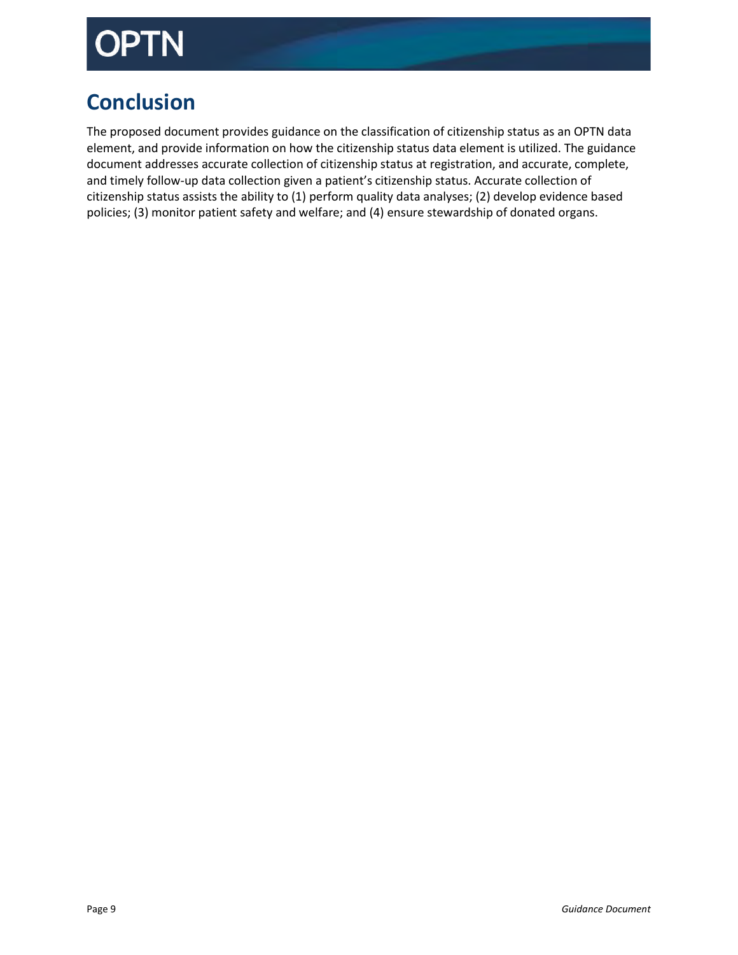# )PTN

# <span id="page-8-0"></span>**Conclusion**

The proposed document provides guidance on the classification of citizenship status as an OPTN data element, and provide information on how the citizenship status data element is utilized. The guidance document addresses accurate collection of citizenship status at registration, and accurate, complete, and timely follow-up data collection given a patient's citizenship status. Accurate collection of citizenship status assists the ability to (1) perform quality data analyses; (2) develop evidence based policies; (3) monitor patient safety and welfare; and (4) ensure stewardship of donated organs.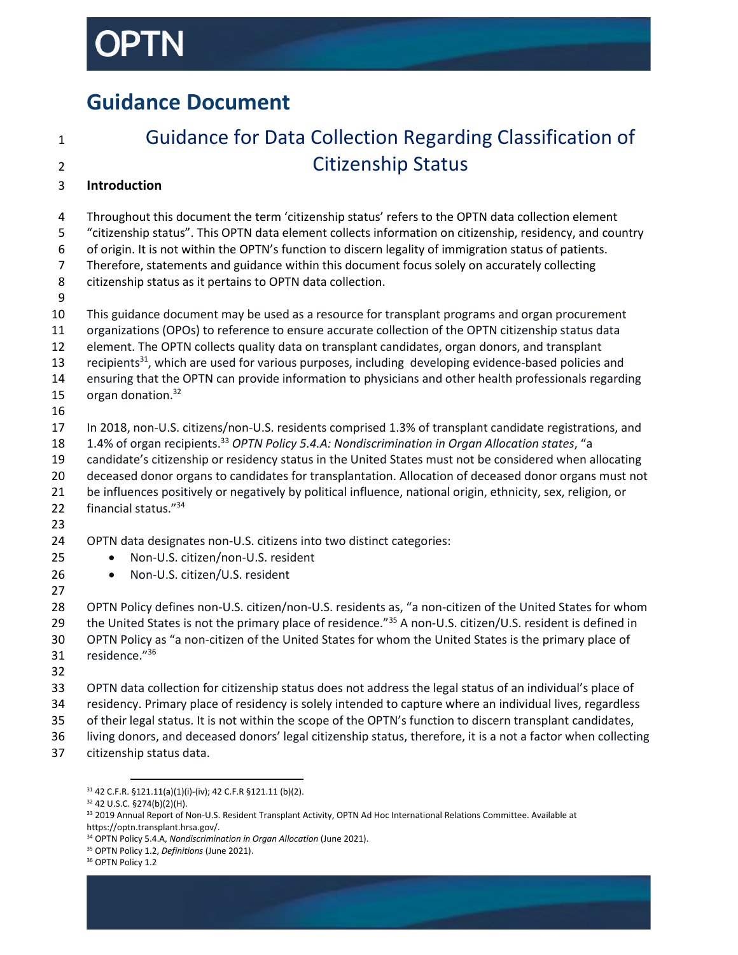# <span id="page-9-0"></span>**Guidance Document**

# Guidance for Data Collection Regarding Classification of Citizenship Status

### **Introduction**

 Throughout this document the term 'citizenship status' refers to the OPTN data collection element "citizenship status". This OPTN data element collects information on citizenship, residency, and country of origin. It is not within the OPTN's function to discern legality of immigration status of patients. Therefore, statements and guidance within this document focus solely on accurately collecting citizenship status as it pertains to OPTN data collection. This guidance document may be used as a resource for transplant programs and organ procurement organizations (OPOs) to reference to ensure accurate collection of the OPTN citizenship status data element. The OPTN collects quality data on transplant candidates, organ donors, and transplant 13 recipients<sup>31</sup>, which are used for various purposes, including developing evidence-based policies and ensuring that the OPTN can provide information to physicians and other health professionals regarding 15  $\sigma$  organ donation.<sup>32</sup> In 2018, non-U.S. citizens/non-U.S. residents comprised 1.3% of transplant candidate registrations, and 1.4% of organ recipients. <sup>33</sup> *OPTN Policy 5.4.A: Nondiscrimination in Organ Allocation states*, "a candidate's citizenship or residency status in the United States must not be considered when allocating deceased donor organs to candidates for transplantation. Allocation of deceased donor organs must not be influences positively or negatively by political influence, national origin, ethnicity, sex, religion, or 22 financial status."<sup>34</sup> OPTN data designates non-U.S. citizens into two distinct categories: 25 • Non-U.S. citizen/non-U.S. resident 26 • Non-U.S. citizen/U.S. resident OPTN Policy defines non-U.S. citizen/non-U.S. residents as, "a non-citizen of the United States for whom 29 the United States is not the primary place of residence."<sup>35</sup> A non-U.S. citizen/U.S. resident is defined in OPTN Policy as "a non-citizen of the United States for whom the United States is the primary place of 31 residence."36 

- OPTN data collection for citizenship status does not address the legal status of an individual's place of
	- residency. Primary place of residency is solely intended to capture where an individual lives, regardless
	- of their legal status. It is not within the scope of the OPTN's function to discern transplant candidates,
	- living donors, and deceased donors' legal citizenship status, therefore, it is a not a factor when collecting citizenship status data.

 $\overline{a}$ 42 C.F.R. §121.11(a)(1)(i)-(iv); 42 C.F.R §121.11 (b)(2).

42 U.S.C. §274(b)(2)(H).

<sup>33 2019</sup> Annual Report of Non-U.S. Resident Transplant Activity, OPTN Ad Hoc International Relations Committee. Available at https://optn.transplant.hrsa.gov/.

OPTN Policy 5.4.A, *Nondiscrimination in Organ Allocation* (June 2021).

OPTN Policy 1.2, *Definitions* (June 2021).

<sup>&</sup>lt;sup>36</sup> OPTN Policy 1.2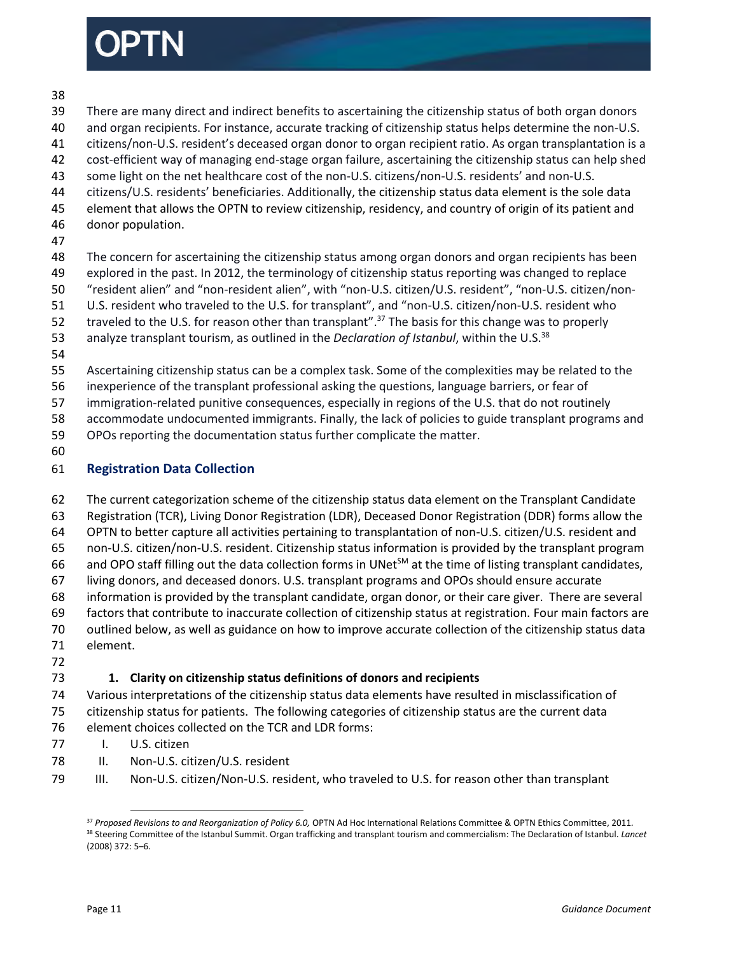

### 

- There are many direct and indirect benefits to ascertaining the citizenship status of both organ donors
- and organ recipients. For instance, accurate tracking of citizenship status helps determine the non-U.S.
- citizens/non-U.S. resident's deceased organ donor to organ recipient ratio. As organ transplantation is a
- cost-efficient way of managing end-stage organ failure, ascertaining the citizenship status can help shed
- some light on the net healthcare cost of the non-U.S. citizens/non-U.S. residents' and non-U.S.
- citizens/U.S. residents' beneficiaries. Additionally, the citizenship status data element is the sole data
- element that allows the OPTN to review citizenship, residency, and country of origin of its patient and donor population.
- 

The concern for ascertaining the citizenship status among organ donors and organ recipients has been

explored in the past. In 2012, the terminology of citizenship status reporting was changed to replace

"resident alien" and "non-resident alien", with "non-U.S. citizen/U.S. resident", "non-U.S. citizen/non-

- U.S. resident who traveled to the U.S. for transplant", and "non-U.S. citizen/non-U.S. resident who
- 52 traveled to the U.S. for reason other than transplant".<sup>37</sup> The basis for this change was to properly
- 53 analyze transplant tourism, as outlined in the *Declaration of Istanbul*, within the U.S.<sup>38</sup>
- 

Ascertaining citizenship status can be a complex task. Some of the complexities may be related to the

inexperience of the transplant professional asking the questions, language barriers, or fear of

immigration-related punitive consequences, especially in regions of the U.S. that do not routinely

accommodate undocumented immigrants. Finally, the lack of policies to guide transplant programs and

- OPOs reporting the documentation status further complicate the matter.
- 

### **Registration Data Collection**

The current categorization scheme of the citizenship status data element on the Transplant Candidate

Registration (TCR), Living Donor Registration (LDR), Deceased Donor Registration (DDR) forms allow the

OPTN to better capture all activities pertaining to transplantation of non-U.S. citizen/U.S. resident and

non-U.S. citizen/non-U.S. resident. Citizenship status information is provided by the transplant program

66 and OPO staff filling out the data collection forms in UNet $^{5M}$  at the time of listing transplant candidates,

living donors, and deceased donors. U.S. transplant programs and OPOs should ensure accurate

information is provided by the transplant candidate, organ donor, or their care giver. There are several

 factors that contribute to inaccurate collection of citizenship status at registration. Four main factors are outlined below, as well as guidance on how to improve accurate collection of the citizenship status data

- element.
- 

### **1. Clarity on citizenship status definitions of donors and recipients**

- Various interpretations of the citizenship status data elements have resulted in misclassification of citizenship status for patients. The following categories of citizenship status are the current data element choices collected on the TCR and LDR forms:
- I. U.S. citizen
- 78 II. Non-U.S. citizen/U.S. resident
- III. Non-U.S. citizen/Non-U.S. resident, who traveled to U.S. for reason other than transplant

 $\overline{\phantom{a}}$  *Proposed Revisions to and Reorganization of Policy 6.0,* OPTN Ad Hoc International Relations Committee & OPTN Ethics Committee, 2011*.* Steering Committee of the Istanbul Summit. Organ trafficking and transplant tourism and commercialism: The Declaration of Istanbul. *Lancet* (2008) 372: 5–6.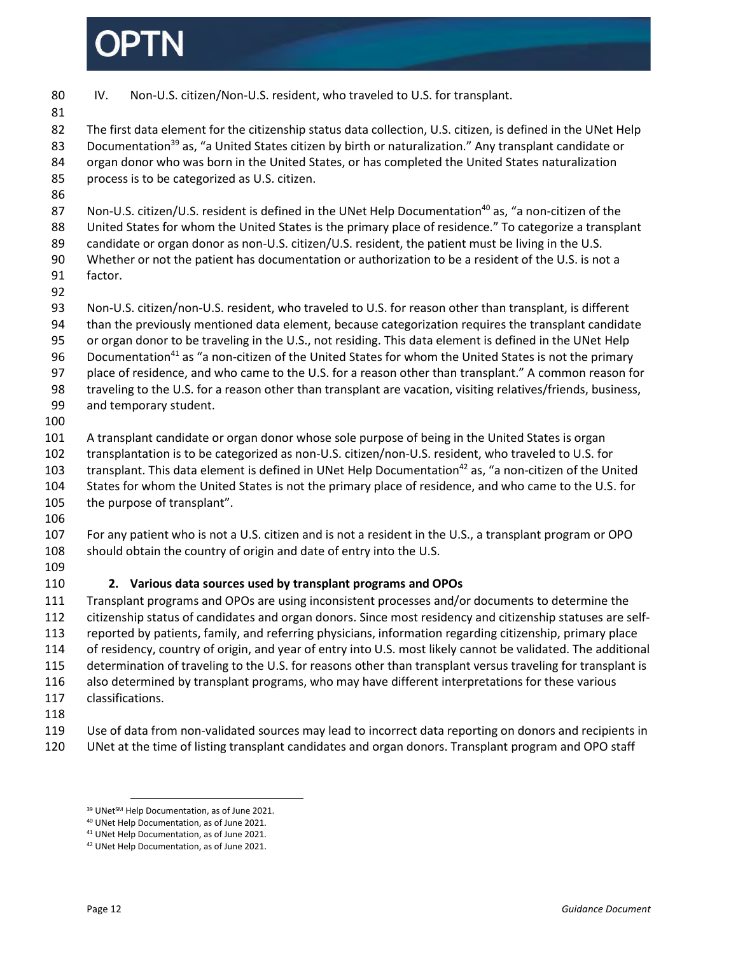IV. Non-U.S. citizen/Non-U.S. resident, who traveled to U.S. for transplant. The first data element for the citizenship status data collection, U.S. citizen, is defined in the UNet Help 83 Documentation<sup>39</sup> as, "a United States citizen by birth or naturalization." Any transplant candidate or organ donor who was born in the United States, or has completed the United States naturalization process is to be categorized as U.S. citizen. 87 Non-U.S. citizen/U.S. resident is defined in the UNet Help Documentation<sup>40</sup> as, "a non-citizen of the United States for whom the United States is the primary place of residence." To categorize a transplant candidate or organ donor as non-U.S. citizen/U.S. resident, the patient must be living in the U.S. Whether or not the patient has documentation or authorization to be a resident of the U.S. is not a factor. Non-U.S. citizen/non-U.S. resident, who traveled to U.S. for reason other than transplant, is different than the previously mentioned data element, because categorization requires the transplant candidate or organ donor to be traveling in the U.S., not residing. This data element is defined in the UNet Help 96 Documentation<sup>41</sup> as "a non-citizen of the United States for whom the United States is not the primary place of residence, and who came to the U.S. for a reason other than transplant." A common reason for traveling to the U.S. for a reason other than transplant are vacation, visiting relatives/friends, business, and temporary student. A transplant candidate or organ donor whose sole purpose of being in the United States is organ transplantation is to be categorized as non-U.S. citizen/non-U.S. resident, who traveled to U.S. for 103 transplant. This data element is defined in UNet Help Documentation<sup>42</sup> as, "a non-citizen of the United States for whom the United States is not the primary place of residence, and who came to the U.S. for the purpose of transplant". For any patient who is not a U.S. citizen and is not a resident in the U.S., a transplant program or OPO should obtain the country of origin and date of entry into the U.S. **2. Various data sources used by transplant programs and OPOs** Transplant programs and OPOs are using inconsistent processes and/or documents to determine the citizenship status of candidates and organ donors. Since most residency and citizenship statuses are self- reported by patients, family, and referring physicians, information regarding citizenship, primary place of residency, country of origin, and year of entry into U.S. most likely cannot be validated. The additional determination of traveling to the U.S. for reasons other than transplant versus traveling for transplant is also determined by transplant programs, who may have different interpretations for these various classifications. Use of data from non-validated sources may lead to incorrect data reporting on donors and recipients in UNet at the time of listing transplant candidates and organ donors. Transplant program and OPO staff  $\overline{\phantom{a}}$ 39 UNet<sup>SM</sup> Help Documentation, as of June 2021.

UNet Help Documentation, as of June 2021.

UNet Help Documentation, as of June 2021.

UNet Help Documentation, as of June 2021.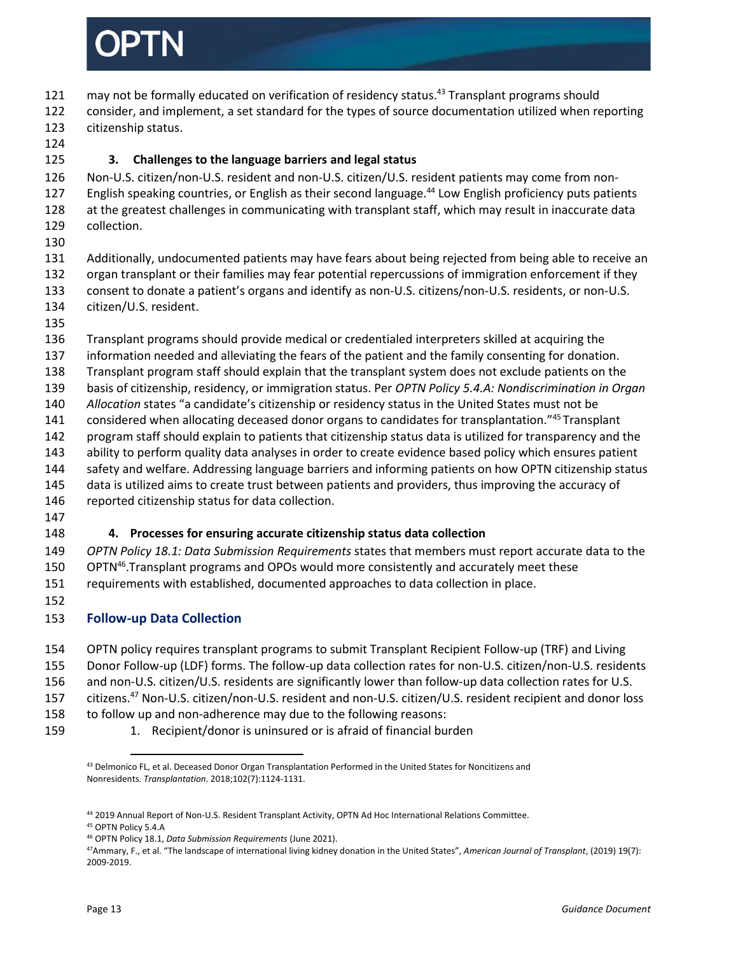

- 121 may not be formally educated on verification of residency status.<sup>43</sup> Transplant programs should
- consider, and implement, a set standard for the types of source documentation utilized when reporting citizenship status.
- 

### **3. Challenges to the language barriers and legal status**

 Non-U.S. citizen/non-U.S. resident and non-U.S. citizen/U.S. resident patients may come from non-127 English speaking countries, or English as their second language.<sup>44</sup> Low English proficiency puts patients

- at the greatest challenges in communicating with transplant staff, which may result in inaccurate data collection.
- 

 Additionally, undocumented patients may have fears about being rejected from being able to receive an organ transplant or their families may fear potential repercussions of immigration enforcement if they consent to donate a patient's organs and identify as non-U.S. citizens/non-U.S. residents, or non-U.S.

- citizen/U.S. resident.
- 

Transplant programs should provide medical or credentialed interpreters skilled at acquiring the

- information needed and alleviating the fears of the patient and the family consenting for donation.
- Transplant program staff should explain that the transplant system does not exclude patients on the
- basis of citizenship, residency, or immigration status. Per *OPTN Policy 5.4.A: Nondiscrimination in Organ*
- *Allocation* states "a candidate's citizenship or residency status in the United States must not be
- 141 considered when allocating deceased donor organs to candidates for transplantation."<sup>45</sup> Transplant
- program staff should explain to patients that citizenship status data is utilized for transparency and the
- ability to perform quality data analyses in order to create evidence based policy which ensures patient
- safety and welfare. Addressing language barriers and informing patients on how OPTN citizenship status
- data is utilized aims to create trust between patients and providers, thus improving the accuracy of reported citizenship status for data collection.
- 

### **4. Processes for ensuring accurate citizenship status data collection**

 *OPTN Policy 18.1: Data Submission Requirements* states that members must report accurate data to the 150 OPTN<sup>46</sup>. Transplant programs and OPOs would more consistently and accurately meet these requirements with established, documented approaches to data collection in place.

### **Follow-up Data Collection**

- OPTN policy requires transplant programs to submit Transplant Recipient Follow-up (TRF) and Living
- Donor Follow-up (LDF) forms. The follow-up data collection rates for non-U.S. citizen/non-U.S. residents

and non-U.S. citizen/U.S. residents are significantly lower than follow-up data collection rates for U.S.

157 citizens.<sup>47</sup> Non-U.S. citizen/non-U.S. resident and non-U.S. citizen/U.S. resident recipient and donor loss

to follow up and non-adherence may due to the following reasons:

1. Recipient/donor is uninsured or is afraid of financial burden

OPTN Policy 18.1, *Data Submission Requirements* (June 2021).

 $\overline{a}$ <sup>43</sup> Delmonico FL, et al. Deceased Donor Organ Transplantation Performed in the United States for Noncitizens and Nonresidents. *Transplantation*. 2018;102(7):1124-1131.

2019 Annual Report of Non-U.S. Resident Transplant Activity, OPTN Ad Hoc International Relations Committee.

OPTN Policy 5.4.A

Ammary, F., et al. "The landscape of international living kidney donation in the United States", *American Journal of Transplant*, (2019) 19(7): 2009-2019.